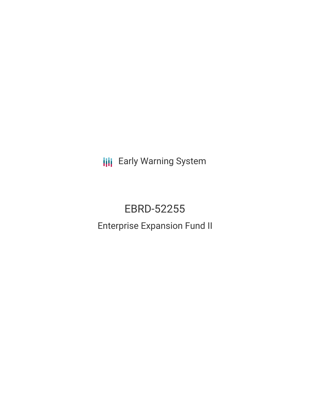**III** Early Warning System

# EBRD-52255 Enterprise Expansion Fund II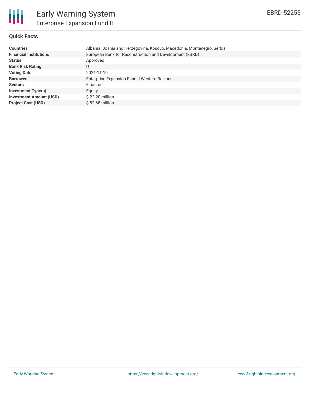

# **Quick Facts**

| <b>Countries</b>               | Albania, Bosnia and Herzegovina, Kosovo, Macedonia, Montenegro, Serbia |
|--------------------------------|------------------------------------------------------------------------|
| <b>Financial Institutions</b>  | European Bank for Reconstruction and Development (EBRD)                |
| <b>Status</b>                  | Approved                                                               |
| <b>Bank Risk Rating</b>        | U                                                                      |
| <b>Voting Date</b>             | 2021-11-10                                                             |
| <b>Borrower</b>                | Enterprise Expansion Fund II Western Balkans                           |
| <b>Sectors</b>                 | Finance                                                                |
| <b>Investment Type(s)</b>      | Equity                                                                 |
| <b>Investment Amount (USD)</b> | \$22.20 million                                                        |
| <b>Project Cost (USD)</b>      | $$82.68$ million                                                       |
|                                |                                                                        |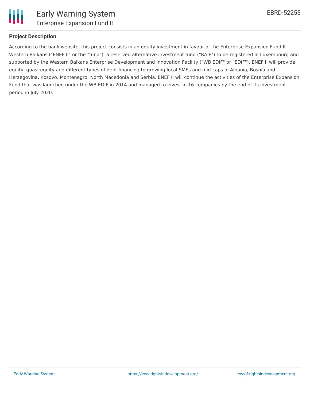

## **Project Description**

According to the bank website, this project consists in an equity investment in favour of the Enterprise Expansion Fund II Western Balkans ("ENEF II" or the "fund"), a reserved alternative investment fund ("RAIF") to be registered in Luxembourg and supported by the Western Balkans Enterprise Development and Innovation Facility ("WB EDIF" or "EDIF"). ENEF II will provide equity, quasi-equity and different types of debt financing to growing local SMEs and mid-caps in Albania, Bosnia and Herzegovina, Kosovo, Montenegro, North Macedonia and Serbia. ENEF II will continue the activities of the Enterprise Expansion Fund that was launched under the WB EDIF in 2014 and managed to invest in 16 companies by the end of its investment period in July 2020.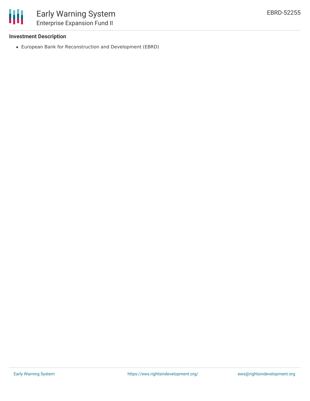

## **Investment Description**

European Bank for Reconstruction and Development (EBRD)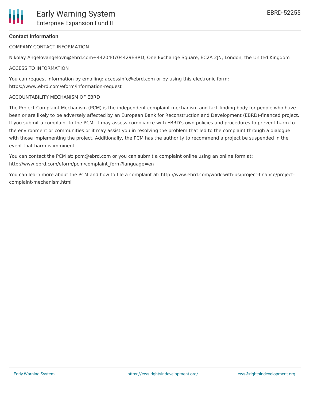# **Contact Information**

COMPANY CONTACT INFORMATION

Nikolay Angelovangelovn@ebrd.com+442040704429EBRD, One Exchange Square, EC2A 2JN, London, the United Kingdom

### ACCESS TO INFORMATION

You can request information by emailing: accessinfo@ebrd.com or by using this electronic form: https://www.ebrd.com/eform/information-request

#### ACCOUNTABILITY MECHANISM OF EBRD

The Project Complaint Mechanism (PCM) is the independent complaint mechanism and fact-finding body for people who have been or are likely to be adversely affected by an European Bank for Reconstruction and Development (EBRD)-financed project. If you submit a complaint to the PCM, it may assess compliance with EBRD's own policies and procedures to prevent harm to the environment or communities or it may assist you in resolving the problem that led to the complaint through a dialogue with those implementing the project. Additionally, the PCM has the authority to recommend a project be suspended in the event that harm is imminent.

You can contact the PCM at: pcm@ebrd.com or you can submit a complaint online using an online form at: http://www.ebrd.com/eform/pcm/complaint\_form?language=en

You can learn more about the PCM and how to file a complaint at: http://www.ebrd.com/work-with-us/project-finance/projectcomplaint-mechanism.html